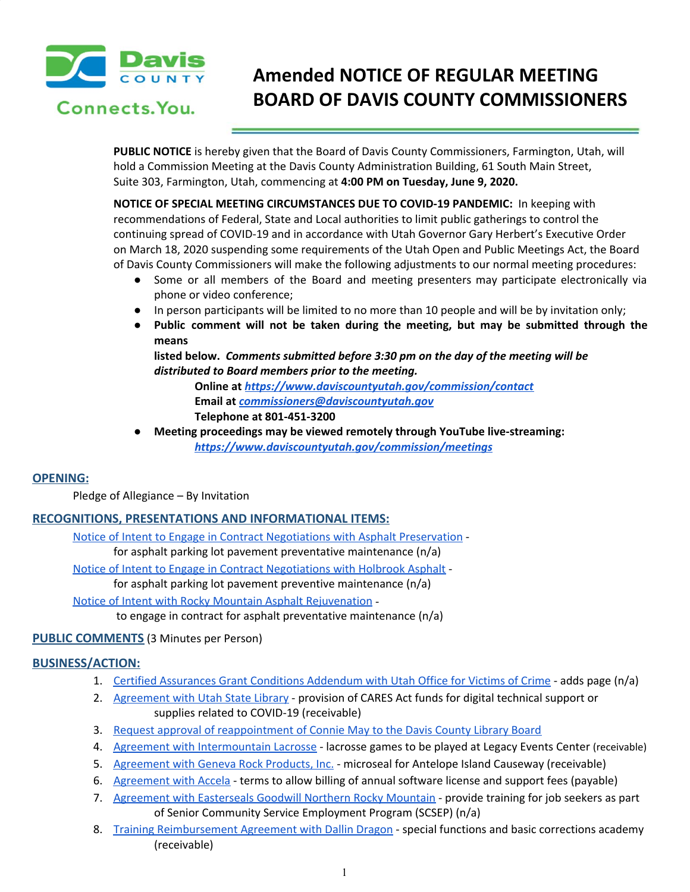

Connects, You.

# **Amended NOTICE OF REGULAR MEETING BOARD OF DAVIS COUNTY COMMISSIONERS**

**PUBLIC NOTICE** is hereby given that the Board of Davis County Commissioners, Farmington, Utah, will hold a Commission Meeting at the Davis County Administration Building, 61 South Main Street, Suite 303, Farmington, Utah, commencing at **4:00 PM on Tuesday, June 9, 2020.**

**NOTICE OF SPECIAL MEETING CIRCUMSTANCES DUE TO COVID-19 PANDEMIC:** In keeping with recommendations of Federal, State and Local authorities to limit public gatherings to control the continuing spread of COVID-19 and in accordance with Utah Governor Gary Herbert's Executive Order on March 18, 2020 suspending some requirements of the Utah Open and Public Meetings Act, the Board of Davis County Commissioners will make the following adjustments to our normal meeting procedures:

- Some or all members of the Board and meeting presenters may participate electronically via phone or video conference;
- In person participants will be limited to no more than 10 people and will be by invitation only;
- **● Public comment will not be taken during the meeting, but may be submitted through the means**

**listed below.** *Comments submitted before 3:30 pm on the day of the meeting will be distributed to Board members prior to the meeting.*

**Online at** *<https://www.daviscountyutah.gov/commission/contact>* **Email at** *[commissioners@daviscountyutah.gov](mailto:commissioners@daviscountyutah.gov)* **Telephone at 801-451-3200**

**● Meeting proceedings may be viewed remotely through YouTube live-streaming:** *<https://www.daviscountyutah.gov/commission/meetings>*

# **OPENING:**

Pledge of Allegiance – By Invitation

# **RECOGNITIONS, PRESENTATIONS AND INFORMATIONAL ITEMS:**

Notice of Intent to Engage in Contract [Negotiations](https://drive.google.com/file/d/1-0gzof6DseXt-N2mZA7EFMOOHD6rd4jK/view?usp=drivesdk) with Asphalt Preservation for asphalt parking lot pavement preventative maintenance (n/a)

Notice of Intent to Engage in Contract [Negotiations](https://drive.google.com/file/d/13EzP6ADJzQfyq2oWDVmLA4skdnSVhCl2/view?usp=drivesdk) with Holbrook Asphalt -

for asphalt parking lot pavement preventive maintenance (n/a)

Notice of Intent with Rocky Mountain Asphalt [Rejuvenation](https://drive.google.com/file/d/1QvUXOSp8ZUdg6EAYr3IUluSlR1x1bJw6/view?usp=drivesdk) -

to engage in contract for asphalt preventative maintenance (n/a)

# **PUBLIC COMMENTS** (3 Minutes per Person)

# **BUSINESS/ACTION:**

- 1. Certified [Assurances](https://drive.google.com/file/d/1wu3Cp-wzBQ04mfB_MvDn9LxAAOzL8jMH/view?usp=drivesdk) Grant Conditions Addendum with Utah Office for Victims of Crime adds page (n/a)
- 2. [Agreement](https://drive.google.com/file/d/10kQ617XHu0sleA5O8Yk5tUmmEKNBQvBQ/view?usp=drivesdk) with Utah State Library provision of CARES Act funds for digital technical support or supplies related to COVID-19 (receivable)
- 3. Request approval of [reappointment](https://drive.google.com/file/d/1F-yLLng4XAUZhJ8AdVya_AS8fXPsvnLR/view?usp=drivesdk) of Connie May to the Davis County Library Board
- 4. Agreement with [Intermountain](https://drive.google.com/file/d/1oc2jJjS8VGTG96sEPFyMCtJsX5OeoD6h/view?usp=drivesdk) Lacrosse lacrosse games to be played at Legacy Events Center (receivable)
- 5. [Agreement](https://drive.google.com/file/d/1sP3AIp6MfZE6fQhlnIqOKAUVW0ulRUw2/view?usp=drivesdk) with Geneva Rock Products, Inc. microseal for Antelope Island Causeway (receivable)
- 6. [Agreement](https://drive.google.com/file/d/1PkqoGeTCDAU2hiLnM0zMaLK6gMVfPWBc/view?usp=drivesdk) with Accela terms to allow billing of annual software license and support fees (payable)
- 7. [Agreement](https://drive.google.com/file/d/1Fv-7Ca0WdR9UaBotlt3lWSb25hcnnPx7/view?usp=drivesdk) with Easterseals Goodwill Northern Rocky Mountain provide training for job seekers as part of Senior Community Service Employment Program (SCSEP) (n/a)
- 8. Training [Reimbursement](https://drive.google.com/file/d/1iksK4A8zHqFEVeyNfRNzGX9Yb2EZKOmA/view?usp=drivesdk) Agreement with Dallin Dragon special functions and basic corrections academy (receivable)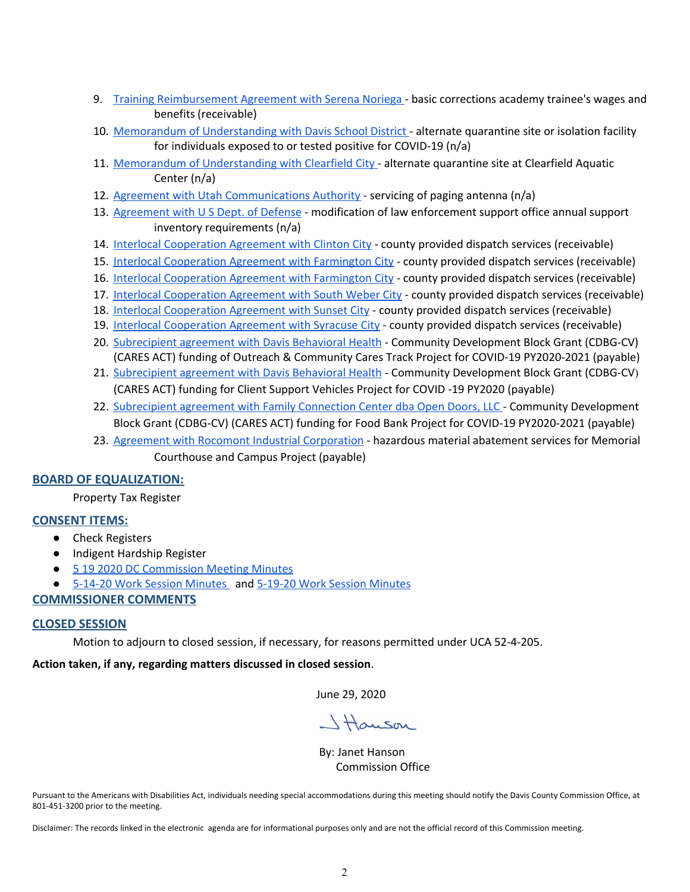- 9. Training [Reimbursement](https://drive.google.com/file/d/16J6G8_Hvex3XWptuoLv4ZPPk_-OPibJa/view?usp=drivesdk) Agreement with Serena Noriega basic corrections academy trainee's wages and benefits (receivable)
- 10. Memorandum of [Understanding](https://drive.google.com/file/d/1UHGv3G0eTBWCk-QTVuXEZ2ltagJsBU5E/view?usp=drivesdk) with Davis School District alternate quarantine site or isolation facility for individuals exposed to or tested positive for COVID-19 (n/a)
- 11. Memorandum of [Understanding](https://drive.google.com/file/d/1uJAzpXNBB0TufYfM-i9zlgQGDWG2LR-k/view?usp=drivesdk) with Clearfield City alternate quarantine site at Clearfield Aquatic Center (n/a)
- 12. Agreement with Utah [Communications](https://drive.google.com/file/d/1ZIQCpjedynvLbylTNvglvcRRfgSvjnzO/view?usp=drivesdk) Authority servicing of paging antenna (n/a)
- 13. [Agreement](https://drive.google.com/file/d/1BGd7T6w5L_jn6mV7aV3mtHudyFvrLpJy/view?usp=drivesdk) with U S Dept. of Defense modification of law enforcement support office annual support inventory requirements (n/a)
- 14. Interlocal [Cooperation](https://drive.google.com/file/d/1SZLfs8YIy2yjRxAgoLHa4GiWe3QhncQv/view?usp=drivesdk) Agreement with Clinton City county provided dispatch services (receivable)
- 15. Interlocal [Cooperation](https://drive.google.com/file/d/10fB-40NolyviBgE22VACY59GPDhkjem5/view?usp=drivesdk) Agreement with Farmington City county provided dispatch services (receivable)
- 16. Interlocal [Cooperation](https://drive.google.com/file/d/1VbGb2seumvqCCKU9wJrM-z3viFGQgvtg/view?usp=drivesdk) Agreement with Farmington City county provided dispatch services (receivable)
- 17. Interlocal [Cooperation](https://drive.google.com/file/d/1PgXF6sq4PTAfNaAG7RXNH-KzcEnE1sv_/view?usp=drivesdk) Agreement with South Weber City county provided dispatch services (receivable)
- 18. Interlocal [Cooperation](https://drive.google.com/file/d/1CFYoTEsBZp5M6gtlEAULNI6UZMma_Jq3/view?usp=drivesdk) Agreement with Sunset City county provided dispatch services (receivable)
- 19. Interlocal [Cooperation](https://drive.google.com/file/d/1U_p__WHIUUzzCCYDe7D3uFK2ouLbdSwP/view?usp=drivesdk) Agreement with Syracuse City county provided dispatch services (receivable)
- 20. [Subrecipient](https://drive.google.com/file/d/1HsTblHoHXgtl-rV5ZKPDyFYLI8bWUdpJ/view?usp=drivesdk) agreement with Davis Behavioral Health Community Development Block Grant (CDBG-CV) (CARES ACT) funding of Outreach & Community Cares Track Project for COVID-19 PY2020-2021 (payable)
- 21. [Subrecipient](https://drive.google.com/file/d/1T9R3S7rJ6xus9oQ3g9wwYdbIt5LOucn1/view?usp=drivesdk) agreement with Davis Behavioral Health Community Development Block Grant (CDBG-CV) (CARES ACT) funding for Client Support Vehicles Project for COVID -19 PY2020 (payable)
- 22. [Subrecipient](https://drive.google.com/file/d/1uRyXTIXzmB7ZnjHvL7-3s4F_8lTkPv8t/view?usp=drivesdk) agreement with Family Connection Center dba Open Doors, LLC Community Development Block Grant (CDBG-CV) (CARES ACT) funding for Food Bank Project for COVID-19 PY2020-2021 (payable)
- 23. Agreement with Rocomont Industrial [Corporation](https://drive.google.com/file/d/1Uimr2dyB04dDLGVlg0OONyQH3WoSzyhw/view?usp=drivesdk) hazardous material abatement services for Memorial Courthouse and Campus Project (payable)

# **BOARD OF EQUALIZATION:**

Property Tax Register

### **CONSENT ITEMS:**

- Check Registers
- Indigent Hardship Register
- 5 19 2020 DC [Commission](https://drive.google.com/file/d/1LTjRg5ZBqgvaBeWehXfeVLIoj2OxXMAS/view?usp=drivesdk) Meeting Minutes
- 5-14-20 Work Session [Minutes](https://drive.google.com/file/d/1Bk-lAgHuPxu1sVu1rIrbY833PLQMzXsa/view?usp=drivesdk) and 5-19-20 Work Session [Minutes](https://drive.google.com/file/d/1_vAF3r5kEyLPHVRdn2E0xrFBIoaLTJ6r/view?usp=drivesdk)

### **COMMISSIONER COMMENTS**

### **CLOSED SESSION**

Motion to adjourn to closed session, if necessary, for reasons permitted under UCA 52-4-205.

### **Action taken, if any, regarding matters discussed in closed session**.

June 29, 2020

Hauson

By: Janet Hanson Commission Office

Pursuant to the Americans with Disabilities Act, individuals needing special accommodations during this meeting should notify the Davis County Commission Office, at 801-451-3200 prior to the meeting.

Disclaimer: The records linked in the electronic agenda are for informational purposes only and are not the official record of this Commission meeting.